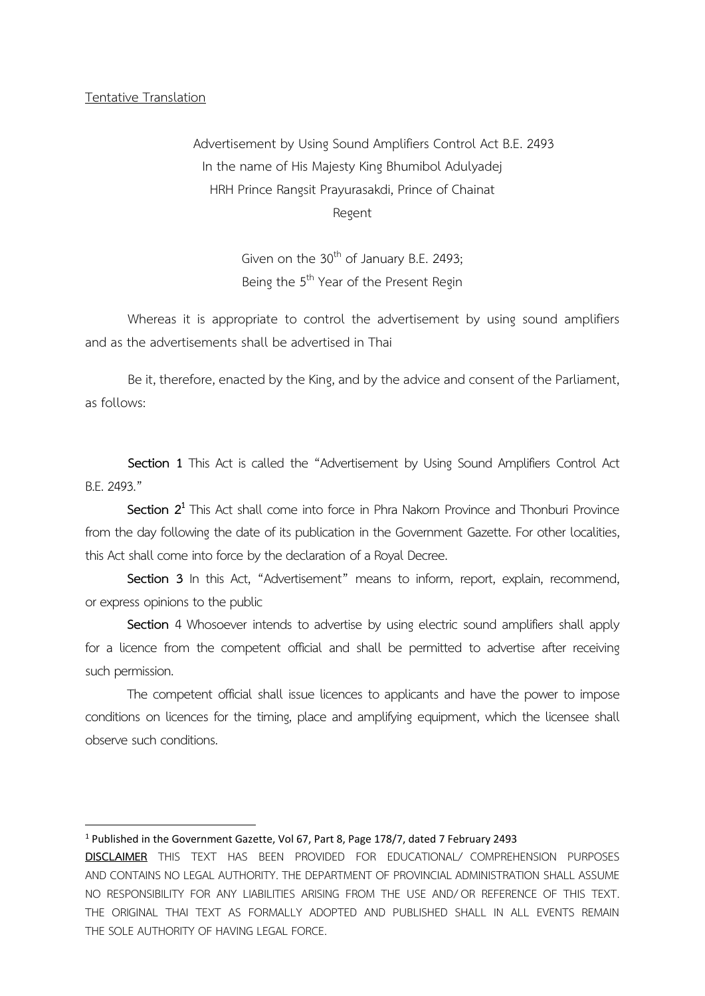## Tentative Translation

Advertisement by Using Sound Amplifiers Control Act B.E. 2493 In the name of His Majesty King Bhumibol Adulyadej HRH Prince Rangsit Prayurasakdi, Prince of Chainat Regent

> Given on the  $30<sup>th</sup>$  of January B.E. 2493; Being the 5<sup>th</sup> Year of the Present Regin

Whereas it is appropriate to control the advertisement by using sound amplifiers and as the advertisements shall be advertised in Thai

Be it, therefore, enacted by the King, and by the advice and consent of the Parliament, as follows:

**Section 1** This Act is called the "Advertisement by Using Sound Amplifiers Control Act B.E. 2493."

**Section 2<sup>1</sup>** This Act shall come into force in Phra Nakorn Province and Thonburi Province from the day following the date of its publication in the Government Gazette. For other localities, this Act shall come into force by the declaration of a Royal Decree.

**Section 3** In this Act, "Advertisement" means to inform, report, explain, recommend, or express opinions to the public

**Section** 4 Whosoever intends to advertise by using electric sound amplifiers shall apply for a licence from the competent official and shall be permitted to advertise after receiving such permission.

The competent official shall issue licences to applicants and have the power to impose conditions on licences for the timing, place and amplifying equipment, which the licensee shall observe such conditions.

## <sup>1</sup> Published in the Government Gazette, Vol 67, Part 8, Page 178/7, dated 7 February 2493

**DISCLAIMER** THIS TEXT HAS BEEN PROVIDED FOR EDUCATIONAL/ COMPREHENSION PURPOSES AND CONTAINS NO LEGAL AUTHORITY. THE DEPARTMENT OF PROVINCIAL ADMINISTRATION SHALL ASSUME NO RESPONSIBILITY FOR ANY LIABILITIES ARISING FROM THE USE AND/ OR REFERENCE OF THIS TEXT. THE ORIGINAL THAI TEXT AS FORMALLY ADOPTED AND PUBLISHED SHALL IN ALL EVENTS REMAIN THE SOLE AUTHORITY OF HAVING LEGAL FORCE.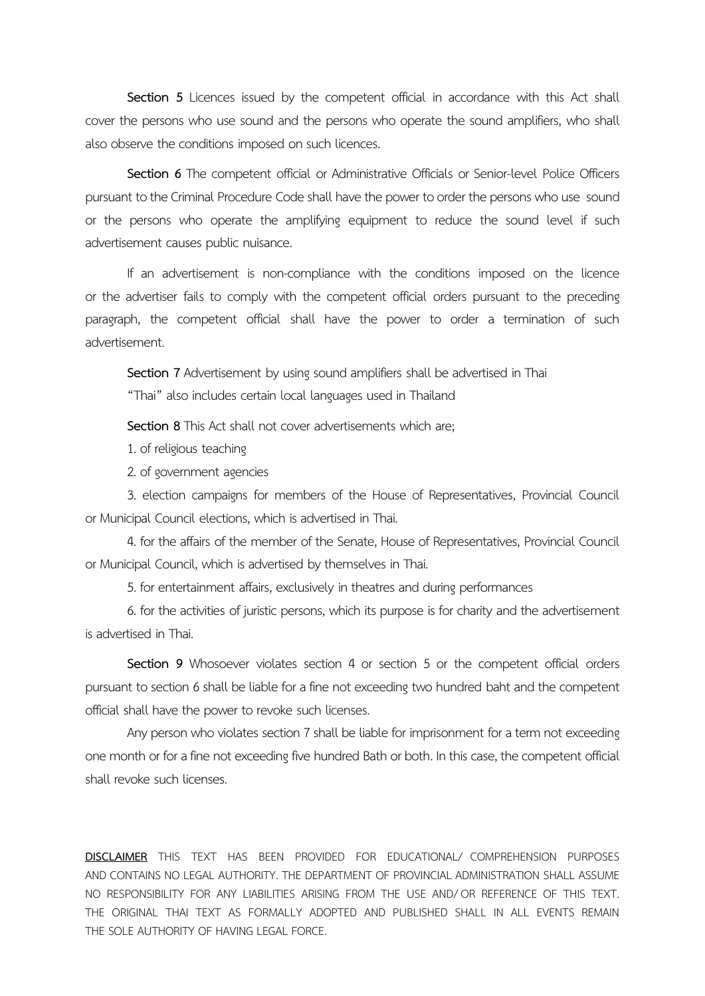Section 5 Licences issued by the competent official in accordance with this Act shall cover the persons who use sound and the persons who operate the sound amplifiers, who shall also observe the conditions imposed on such licences.

Section 6 The competent official or Administrative Officials or Senior-level Police Officers pursuant to the Criminal Procedure Code shall have the power to order the persons who use sound or the persons who operate the amplifying equipment to reduce the sound level if such advertisement causes public nuisance.

If an advertisement is non-compliance with the conditions imposed on the licence or the advertiser fails to comply with the competent official orders pursuant to the preceding paragraph, the competent official shall have the power to order a termination of such advertisement.

**Section 7** Advertisement by using sound amplifiers shall be advertised in Thai

"Thai" also includes certain local languages used in Thailand

**Section 8**This Act shall not cover advertisements which are;

1. of religious teaching

2. of government agencies

3. election campaigns for members of the House of Representatives, Provincial Council or Municipal Council elections, which is advertised in Thai.

4. for the affairs of the member of the Senate, House of Representatives, Provincial Council or Municipal Council, which is advertised by themselves in Thai.

5. for entertainment affairs, exclusively in theatres and during performances

6. for the activities of juristic persons, which its purpose is for charity and the advertisement is advertised in Thai.

**Section 9** Whosoever violates section 4 or section 5 or the competent official orders pursuant to section 6 shall be liable for a fine not exceeding two hundred baht and the competent official shall have the power to revoke such licenses.

Any person who violates section 7 shall be liable for imprisonment for a term not exceeding one month or for a fine not exceeding five hundred Bath or both. In this case, the competent official shall revoke such licenses.

**DISCLAIMER** THIS TEXT HAS BEEN PROVIDED FOR EDUCATIONAL/ COMPREHENSION PURPOSES AND CONTAINS NO LEGAL AUTHORITY. THE DEPARTMENT OF PROVINCIAL ADMINISTRATION SHALL ASSUME NO RESPONSIBILITY FOR ANY LIABILITIES ARISING FROM THE USE AND/ OR REFERENCE OF THIS TEXT. THE ORIGINAL THAI TEXT AS FORMALLY ADOPTED AND PUBLISHED SHALL IN ALL EVENTS REMAIN THE SOLE AUTHORITY OF HAVING LEGAL FORCE.